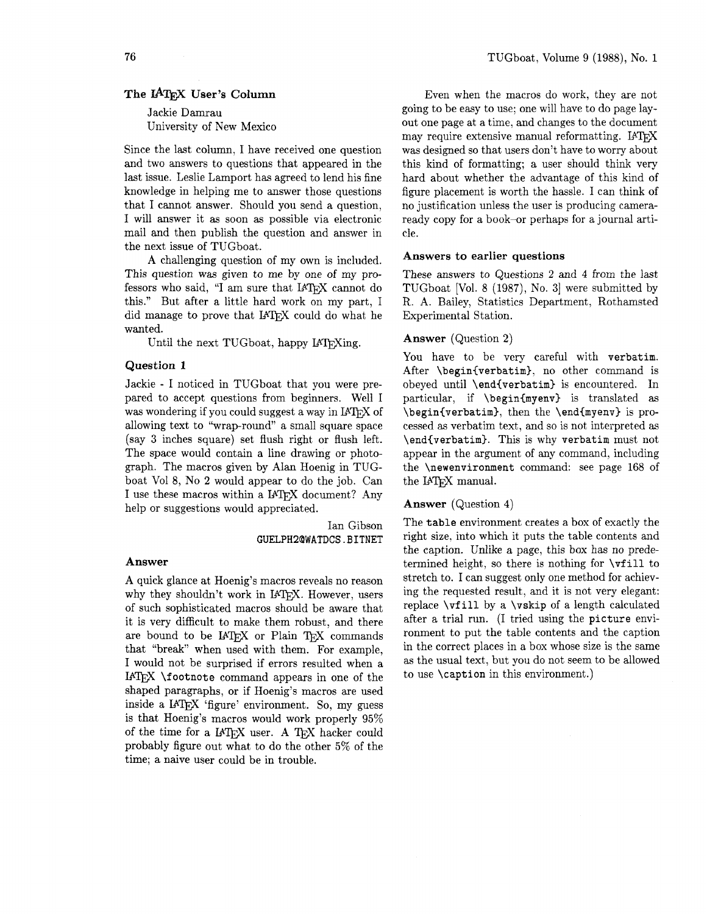Jackie Damrau University of New Mexico

Since the last column, I have received one question and two answers to questions that appeared in the last issue. Leslie Lamport has agreed to lend his fine knowledge in helping me to answer those questions that I cannot answer. Should you send a question, I will answer it as soon as possible via electronic mail and then publish the question and answer in the next issue of TUGboat.

A challenging question of my own is included. This question was given to me by one of my professors who said, "I am sure that IATFX cannot do this." But after a little hard work on my part, I did manage to prove that  $IATEX$  could do what he wanted.

Until the next TUGboat, happy I4TFXing.

## **Question 1**

Jackie - I noticed in TUGboat that you were prepared to accept questions from beginners. Well I was wondering if you could suggest a way in IATEX of allowing text to "wrap-round" a small square space (say **3** inches square) set flush right or flush left. The space would contain a line drawing or photograph. The macros given by Alan Hoenig in TUGboat Vol 8, No **2** would appear to do the job. Can I use these macros within a IATFX document? Any help or suggestions would appreciated.

> Ian Gibson **GUELPH2QWATDCS.BITNET**

#### **Answer**

A quick glance at Hoenig's macros reveals no reason<br>why they shouldn't work in I4T<sub>E</sub>X. However, users of such sophisticated macros should be aware that it is very difficult to make them robust, and there are bound to be IATFX or Plain TFX commands that "break" when used with them. For example, I would not be surprised if errors resulted when a IAT<sub>F</sub>X  $\text{footnote}$  command appears in one of the shaped paragraphs, or if Hoenig's macros are used inside a IAT<sub>F</sub>X 'figure' environment. So, my guess is that Hoenig's macros would work properly 95% of the time for a  $IATFX$  user. A  $TFX$  hacker could probably figure out what to do the other 5% of the time; a naive user could be in trouble.

Even when the macros do work, they are not going to be easy to use; one will have to do page layout one page at a time, and changes to the document<br>may require extensive manual reformatting. IATEX was designed so that users don't have to worry about this kind of formatting; a user should think very hard about whether the advantage of this kind of figure placement is worth the hassle. I can think of no justification unless the user is producing cameraready copy for a book-or perhaps for a journal article.

#### **Answers to earlier questions**

These answers to Questions 2 and 4 from the last TUGboat [Vol. 8 (1987), No. **31** were submitted by R. A. Bailey, Statistics Department, Rothamsted Experimental Station.

#### **Answer** (Question **2)**

You have to be very careful with verbatim. After \begin{verbatim}, no other command is obeyed until \end{verbatim} is encountered. In particular, if \begin{myenv} is translated as \begin{verbatim}, then the \end{myenv} is processed as verbatim text, and so is not interpreted as \end(verbatim). This is why verbatim must not appear in the argument of any command, including the \newenvironment command: see page 168 of the IAT<sub>F</sub>X manual.

# **Answer** (Question **4)**

The table environment creates a box of exactly the right size, into which it puts the table contents and the caption. Unlike a page, this box has no predetermined height, so there is nothing for \vfill to stretch to. I can suggest only one method for achieving the requested result, and it is not very elegant: replace \vfill by a \vskip of a length calculated after a trial run. (I tried using the picture environment to put the table contents and the caption in the correct places in a box whose size is the same as the usual text, but you do not seem to be allowed to use \caption in this environment.)